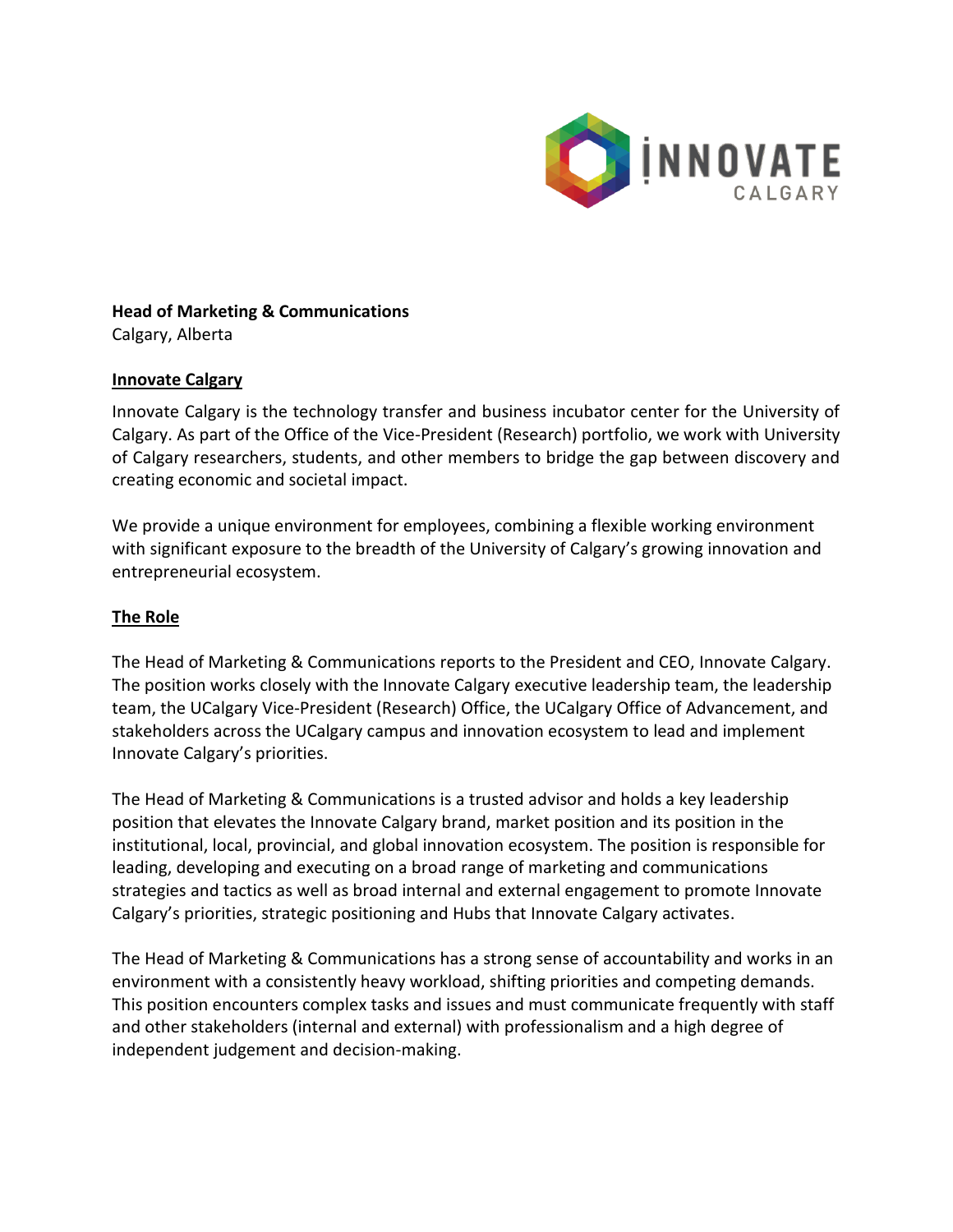

#### **Head of Marketing & Communications** Calgary, Alberta

#### **Innovate Calgary**

Innovate Calgary is the technology transfer and business incubator center for the University of Calgary. As part of the Office of the Vice-President (Research) portfolio, we work with University of Calgary researchers, students, and other members to bridge the gap between discovery and creating economic and societal impact.

We provide a unique environment for employees, combining a flexible working environment with significant exposure to the breadth of the University of Calgary's growing innovation and entrepreneurial ecosystem.

## **The Role**

The Head of Marketing & Communications reports to the President and CEO, Innovate Calgary. The position works closely with the Innovate Calgary executive leadership team, the leadership team, the UCalgary Vice-President (Research) Office, the UCalgary Office of Advancement, and stakeholders across the UCalgary campus and innovation ecosystem to lead and implement Innovate Calgary's priorities.

The Head of Marketing & Communications is a trusted advisor and holds a key leadership position that elevates the Innovate Calgary brand, market position and its position in the institutional, local, provincial, and global innovation ecosystem. The position is responsible for leading, developing and executing on a broad range of marketing and communications strategies and tactics as well as broad internal and external engagement to promote Innovate Calgary's priorities, strategic positioning and Hubs that Innovate Calgary activates.

The Head of Marketing & Communications has a strong sense of accountability and works in an environment with a consistently heavy workload, shifting priorities and competing demands. This position encounters complex tasks and issues and must communicate frequently with staff and other stakeholders (internal and external) with professionalism and a high degree of independent judgement and decision-making.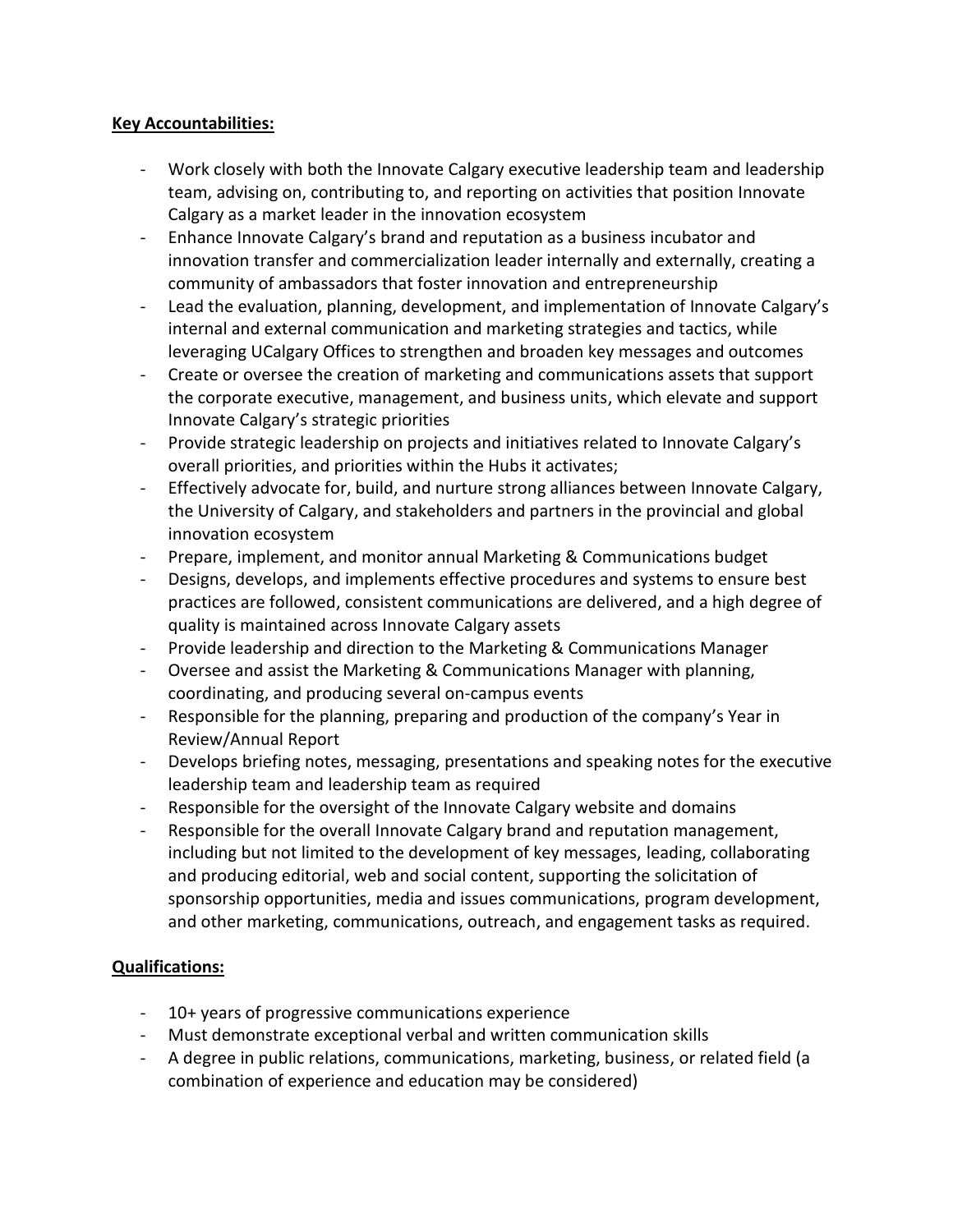## **Key Accountabilities:**

- Work closely with both the Innovate Calgary executive leadership team and leadership team, advising on, contributing to, and reporting on activities that position Innovate Calgary as a market leader in the innovation ecosystem
- Enhance Innovate Calgary's brand and reputation as a business incubator and innovation transfer and commercialization leader internally and externally, creating a community of ambassadors that foster innovation and entrepreneurship
- Lead the evaluation, planning, development, and implementation of Innovate Calgary's internal and external communication and marketing strategies and tactics, while leveraging UCalgary Offices to strengthen and broaden key messages and outcomes
- Create or oversee the creation of marketing and communications assets that support the corporate executive, management, and business units, which elevate and support Innovate Calgary's strategic priorities
- Provide strategic leadership on projects and initiatives related to Innovate Calgary's overall priorities, and priorities within the Hubs it activates;
- Effectively advocate for, build, and nurture strong alliances between Innovate Calgary, the University of Calgary, and stakeholders and partners in the provincial and global innovation ecosystem
- Prepare, implement, and monitor annual Marketing & Communications budget
- Designs, develops, and implements effective procedures and systems to ensure best practices are followed, consistent communications are delivered, and a high degree of quality is maintained across Innovate Calgary assets
- Provide leadership and direction to the Marketing & Communications Manager
- Oversee and assist the Marketing & Communications Manager with planning, coordinating, and producing several on-campus events
- Responsible for the planning, preparing and production of the company's Year in Review/Annual Report
- Develops briefing notes, messaging, presentations and speaking notes for the executive leadership team and leadership team as required
- Responsible for the oversight of the Innovate Calgary website and domains
- Responsible for the overall Innovate Calgary brand and reputation management, including but not limited to the development of key messages, leading, collaborating and producing editorial, web and social content, supporting the solicitation of sponsorship opportunities, media and issues communications, program development, and other marketing, communications, outreach, and engagement tasks as required.

# **Qualifications:**

- 10+ years of progressive communications experience
- Must demonstrate exceptional verbal and written communication skills
- A degree in public relations, communications, marketing, business, or related field (a combination of experience and education may be considered)